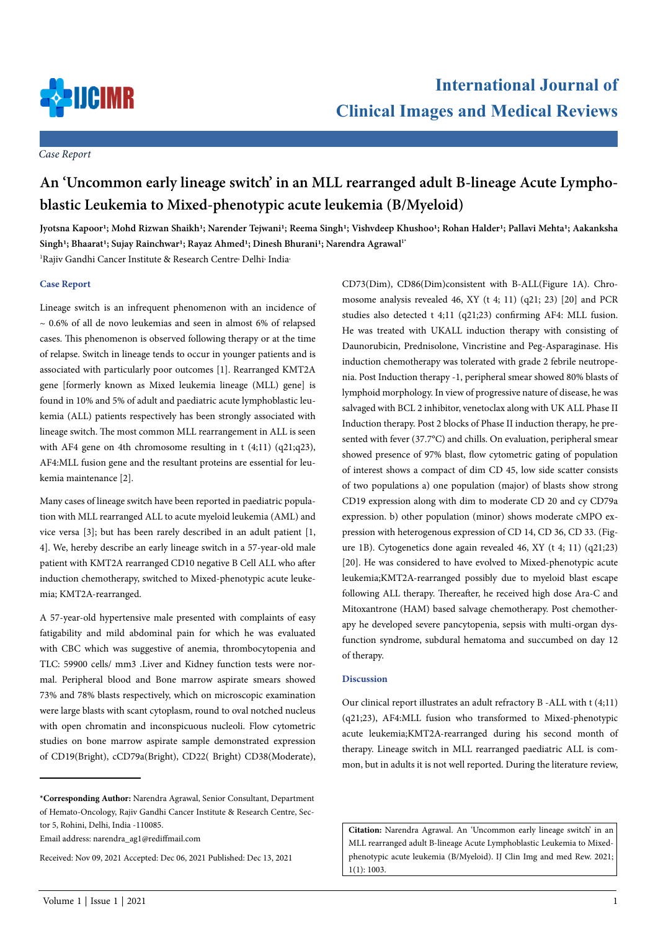

*Case Report*

# **An 'Uncommon early lineage switch' in an MLL rearranged adult B-lineage Acute Lymphoblastic Leukemia to Mixed-phenotypic acute leukemia (B/Myeloid)**

Jyotsna Kapoor<sup>1</sup>; Mohd Rizwan Shaikh<sup>1</sup>; Narender Tejwani<sup>1</sup>; Reema Singh<sup>1</sup>; Vishvdeep Khushoo<sup>1</sup>; Rohan Halder<sup>1</sup>; Pallavi Mehta<sup>1</sup>; Aakanksha Singh<sup>1</sup>; Bhaarat<sup>1</sup>; Sujay Rainchwar<sup>1</sup>; Rayaz Ahmed<sup>1</sup>; Dinesh Bhurani<sup>1</sup>; Narendra Agrawal<sup>1</sup><sup>\*</sup> <sup>1</sup>Rajiv Gandhi Cancer Institute & Research Centre<sup>,</sup> Delhi<sup>,</sup> India<sup>.</sup>

## **Case Report**

Lineage switch is an infrequent phenomenon with an incidence of  $\sim$  0.6% of all de novo leukemias and seen in almost 6% of relapsed cases. This phenomenon is observed following therapy or at the time of relapse. Switch in lineage tends to occur in younger patients and is associated with particularly poor outcomes [1]. Rearranged KMT2A gene [formerly known as Mixed leukemia lineage (MLL) gene] is found in 10% and 5% of adult and paediatric acute lymphoblastic leukemia (ALL) patients respectively has been strongly associated with lineage switch. The most common MLL rearrangement in ALL is seen with AF4 gene on 4th chromosome resulting in t (4;11) (q21;q23), AF4:MLL fusion gene and the resultant proteins are essential for leukemia maintenance [2].

Many cases of lineage switch have been reported in paediatric population with MLL rearranged ALL to acute myeloid leukemia (AML) and vice versa [3]; but has been rarely described in an adult patient [1, 4]. We, hereby describe an early lineage switch in a 57-year-old male patient with KMT2A rearranged CD10 negative B Cell ALL who after induction chemotherapy, switched to Mixed-phenotypic acute leukemia; KMT2A-rearranged.

A 57-year-old hypertensive male presented with complaints of easy fatigability and mild abdominal pain for which he was evaluated with CBC which was suggestive of anemia, thrombocytopenia and TLC: 59900 cells/ mm3 .Liver and Kidney function tests were normal. Peripheral blood and Bone marrow aspirate smears showed 73% and 78% blasts respectively, which on microscopic examination were large blasts with scant cytoplasm, round to oval notched nucleus with open chromatin and inconspicuous nucleoli. Flow cytometric studies on bone marrow aspirate sample demonstrated expression of CD19(Bright), cCD79a(Bright), CD22( Bright) CD38(Moderate),

CD73(Dim), CD86(Dim)consistent with B-ALL(Figure 1A). Chromosome analysis revealed 46, XY (t 4; 11) (q21; 23) [20] and PCR studies also detected t 4;11 (q21;23) confirming AF4: MLL fusion. He was treated with UKALL induction therapy with consisting of Daunorubicin, Prednisolone, Vincristine and Peg-Asparaginase. His induction chemotherapy was tolerated with grade 2 febrile neutropenia. Post Induction therapy -1, peripheral smear showed 80% blasts of lymphoid morphology. In view of progressive nature of disease, he was salvaged with BCL 2 inhibitor, venetoclax along with UK ALL Phase II Induction therapy. Post 2 blocks of Phase II induction therapy, he presented with fever (37.7°C) and chills. On evaluation, peripheral smear showed presence of 97% blast, flow cytometric gating of population of interest shows a compact of dim CD 45, low side scatter consists of two populations a) one population (major) of blasts show strong CD19 expression along with dim to moderate CD 20 and cy CD79a expression. b) other population (minor) shows moderate cMPO expression with heterogenous expression of CD 14, CD 36, CD 33. (Figure 1B). Cytogenetics done again revealed 46, XY (t 4; 11) (q21;23) [20]. He was considered to have evolved to Mixed-phenotypic acute leukemia;KMT2A-rearranged possibly due to myeloid blast escape following ALL therapy. Thereafter, he received high dose Ara-C and Mitoxantrone (HAM) based salvage chemotherapy. Post chemotherapy he developed severe pancytopenia, sepsis with multi-organ dysfunction syndrome, subdural hematoma and succumbed on day 12 of therapy.

### **Discussion**

Our clinical report illustrates an adult refractory B -ALL with t (4;11) (q21;23), AF4:MLL fusion who transformed to Mixed-phenotypic acute leukemia;KMT2A-rearranged during his second month of therapy. Lineage switch in MLL rearranged paediatric ALL is common, but in adults it is not well reported. During the literature review,

**Citation:** Narendra Agrawal. An 'Uncommon early lineage switch' in an MLL rearranged adult B-lineage Acute Lymphoblastic Leukemia to Mixedphenotypic acute leukemia (B/Myeloid). IJ Clin Img and med Rew. 2021; 1(1): 1003.

**<sup>\*</sup>Corresponding Author:** Narendra Agrawal, Senior Consultant, Department of Hemato-Oncology, Rajiv Gandhi Cancer Institute & Research Centre, Sector 5, Rohini, Delhi, India -110085.

Email address: narendra\_ag1@rediffmail.com

Received: Nov 09, 2021 Accepted: Dec 06, 2021 Published: Dec 13, 2021